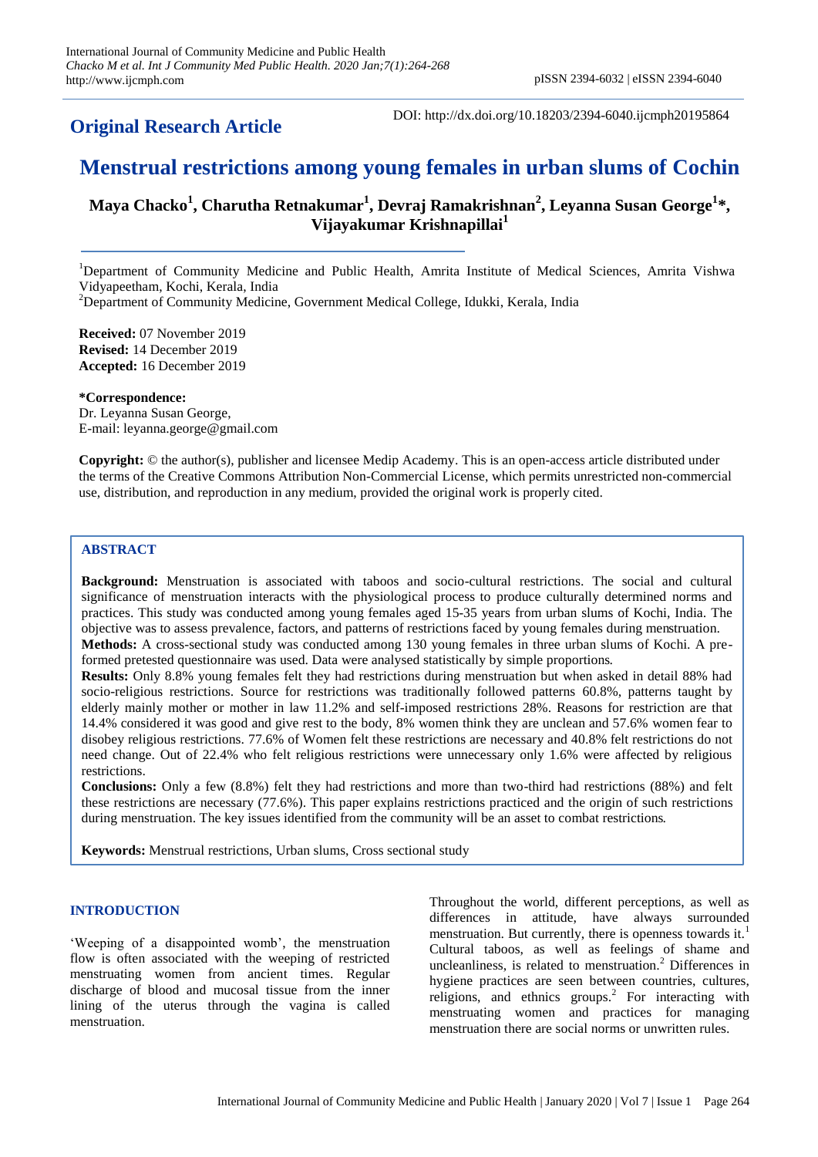# **Original Research Article**

DOI: http://dx.doi.org/10.18203/2394-6040.ijcmph20195864

# **Menstrual restrictions among young females in urban slums of Cochin**

# **Maya Chacko<sup>1</sup> , Charutha Retnakumar<sup>1</sup> , Devraj Ramakrishnan<sup>2</sup> , Leyanna Susan George<sup>1</sup> \*, Vijayakumar Krishnapillai<sup>1</sup>**

<sup>1</sup>Department of Community Medicine and Public Health, Amrita Institute of Medical Sciences, Amrita Vishwa Vidyapeetham, Kochi, Kerala, India

<sup>2</sup>Department of Community Medicine, Government Medical College, Idukki, Kerala, India

**Received:** 07 November 2019 **Revised:** 14 December 2019 **Accepted:** 16 December 2019

**\*Correspondence:** Dr. Leyanna Susan George, E-mail: leyanna.george@gmail.com

**Copyright:** © the author(s), publisher and licensee Medip Academy. This is an open-access article distributed under the terms of the Creative Commons Attribution Non-Commercial License, which permits unrestricted non-commercial use, distribution, and reproduction in any medium, provided the original work is properly cited.

# **ABSTRACT**

**Background:** Menstruation is associated with taboos and socio-cultural restrictions. The social and cultural significance of menstruation interacts with the physiological process to produce culturally determined norms and practices. This study was conducted among young females aged 15-35 years from urban slums of Kochi, India. The objective was to assess prevalence, factors, and patterns of restrictions faced by young females during menstruation. **Methods:** A cross-sectional study was conducted among 130 young females in three urban slums of Kochi. A preformed pretested questionnaire was used. Data were analysed statistically by simple proportions.

**Results:** Only 8.8% young females felt they had restrictions during menstruation but when asked in detail 88% had socio-religious restrictions. Source for restrictions was traditionally followed patterns 60.8%, patterns taught by elderly mainly mother or mother in law 11.2% and self-imposed restrictions 28%. Reasons for restriction are that 14.4% considered it was good and give rest to the body, 8% women think they are unclean and 57.6% women fear to disobey religious restrictions. 77.6% of Women felt these restrictions are necessary and 40.8% felt restrictions do not need change. Out of 22.4% who felt religious restrictions were unnecessary only 1.6% were affected by religious restrictions.

**Conclusions:** Only a few (8.8%) felt they had restrictions and more than two-third had restrictions (88%) and felt these restrictions are necessary (77.6%). This paper explains restrictions practiced and the origin of such restrictions during menstruation. The key issues identified from the community will be an asset to combat restrictions.

**Keywords:** Menstrual restrictions, Urban slums, Cross sectional study

# **INTRODUCTION**

'Weeping of a disappointed womb', the menstruation flow is often associated with the weeping of restricted menstruating women from ancient times. Regular discharge of blood and mucosal tissue from the inner lining of the uterus through the vagina is called menstruation.

Throughout the world, different perceptions, as well as differences in attitude, have always surrounded menstruation. But currently, there is openness towards it.<sup>1</sup> Cultural taboos, as well as feelings of shame and uncleanliness, is related to menstruation.<sup>2</sup> Differences in hygiene practices are seen between countries, cultures, religions, and ethnics groups.<sup>2</sup> For interacting with menstruating women and practices for managing menstruation there are social norms or unwritten rules.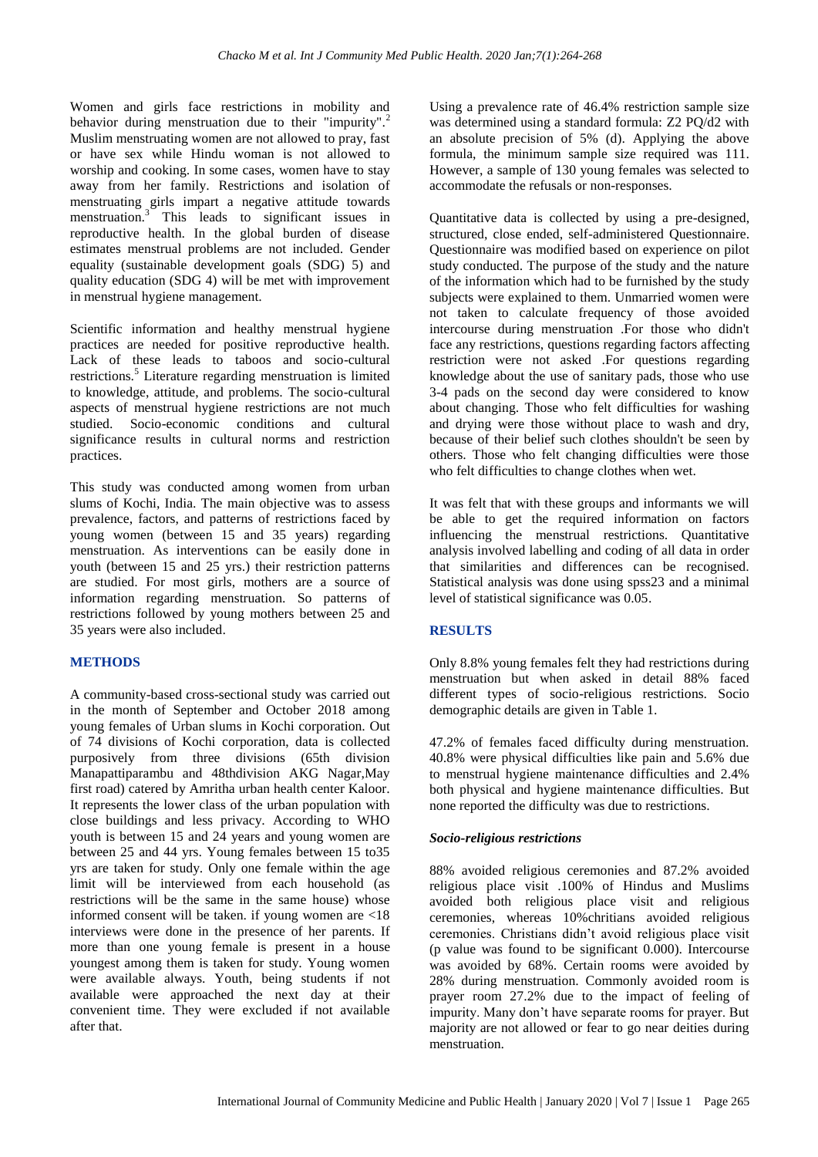Women and girls face restrictions in mobility and behavior during menstruation due to their "impurity".<sup>2</sup> Muslim menstruating women are not allowed to pray, fast or have sex while Hindu woman is not allowed to worship and cooking. In some cases, women have to stay away from her family. Restrictions and isolation of menstruating girls impart a negative attitude towards menstruation. <sup>3</sup> This leads to significant issues in reproductive health. In the global burden of disease estimates menstrual problems are not included. Gender equality (sustainable development goals (SDG) 5) and quality education (SDG 4) will be met with improvement in menstrual hygiene management.

Scientific information and healthy menstrual hygiene practices are needed for positive reproductive health. Lack of these leads to taboos and socio-cultural restrictions.<sup>5</sup> Literature regarding menstruation is limited to knowledge, attitude, and problems. The socio-cultural aspects of menstrual hygiene restrictions are not much studied. Socio-economic conditions and cultural significance results in cultural norms and restriction practices.

This study was conducted among women from urban slums of Kochi, India. The main objective was to assess prevalence, factors, and patterns of restrictions faced by young women (between 15 and 35 years) regarding menstruation. As interventions can be easily done in youth (between 15 and 25 yrs.) their restriction patterns are studied. For most girls, mothers are a source of information regarding menstruation. So patterns of restrictions followed by young mothers between 25 and 35 years were also included.

# **METHODS**

A community-based cross-sectional study was carried out in the month of September and October 2018 among young females of Urban slums in Kochi corporation. Out of 74 divisions of Kochi corporation, data is collected purposively from three divisions (65th division Manapattiparambu and 48thdivision AKG Nagar,May first road) catered by Amritha urban health center Kaloor. It represents the lower class of the urban population with close buildings and less privacy. According to WHO youth is between 15 and 24 years and young women are between 25 and 44 yrs. Young females between 15 to35 yrs are taken for study. Only one female within the age limit will be interviewed from each household (as restrictions will be the same in the same house) whose informed consent will be taken. if young women are <18 interviews were done in the presence of her parents. If more than one young female is present in a house youngest among them is taken for study. Young women were available always. Youth, being students if not available were approached the next day at their convenient time. They were excluded if not available after that.

Using a prevalence rate of 46.4% restriction sample size was determined using a standard formula: Z2 PQ/d2 with an absolute precision of 5% (d). Applying the above formula, the minimum sample size required was 111. However, a sample of 130 young females was selected to accommodate the refusals or non-responses.

Quantitative data is collected by using a pre-designed, structured, close ended, self-administered Questionnaire. Questionnaire was modified based on experience on pilot study conducted. The purpose of the study and the nature of the information which had to be furnished by the study subjects were explained to them. Unmarried women were not taken to calculate frequency of those avoided intercourse during menstruation .For those who didn't face any restrictions, questions regarding factors affecting restriction were not asked .For questions regarding knowledge about the use of sanitary pads, those who use 3-4 pads on the second day were considered to know about changing. Those who felt difficulties for washing and drying were those without place to wash and dry, because of their belief such clothes shouldn't be seen by others. Those who felt changing difficulties were those who felt difficulties to change clothes when wet.

It was felt that with these groups and informants we will be able to get the required information on factors influencing the menstrual restrictions. Quantitative analysis involved labelling and coding of all data in order that similarities and differences can be recognised. Statistical analysis was done using spss23 and a minimal level of statistical significance was 0.05.

# **RESULTS**

Only 8.8% young females felt they had restrictions during menstruation but when asked in detail 88% faced different types of socio-religious restrictions. Socio demographic details are given in Table 1.

47.2% of females faced difficulty during menstruation. 40.8% were physical difficulties like pain and 5.6% due to menstrual hygiene maintenance difficulties and 2.4% both physical and hygiene maintenance difficulties. But none reported the difficulty was due to restrictions.

# *Socio-religious restrictions*

88% avoided religious ceremonies and 87.2% avoided religious place visit .100% of Hindus and Muslims avoided both religious place visit and religious ceremonies, whereas 10%chritians avoided religious ceremonies. Christians didn't avoid religious place visit (p value was found to be significant 0.000). Intercourse was avoided by 68%. Certain rooms were avoided by 28% during menstruation. Commonly avoided room is prayer room 27.2% due to the impact of feeling of impurity. Many don't have separate rooms for prayer. But majority are not allowed or fear to go near deities during menstruation.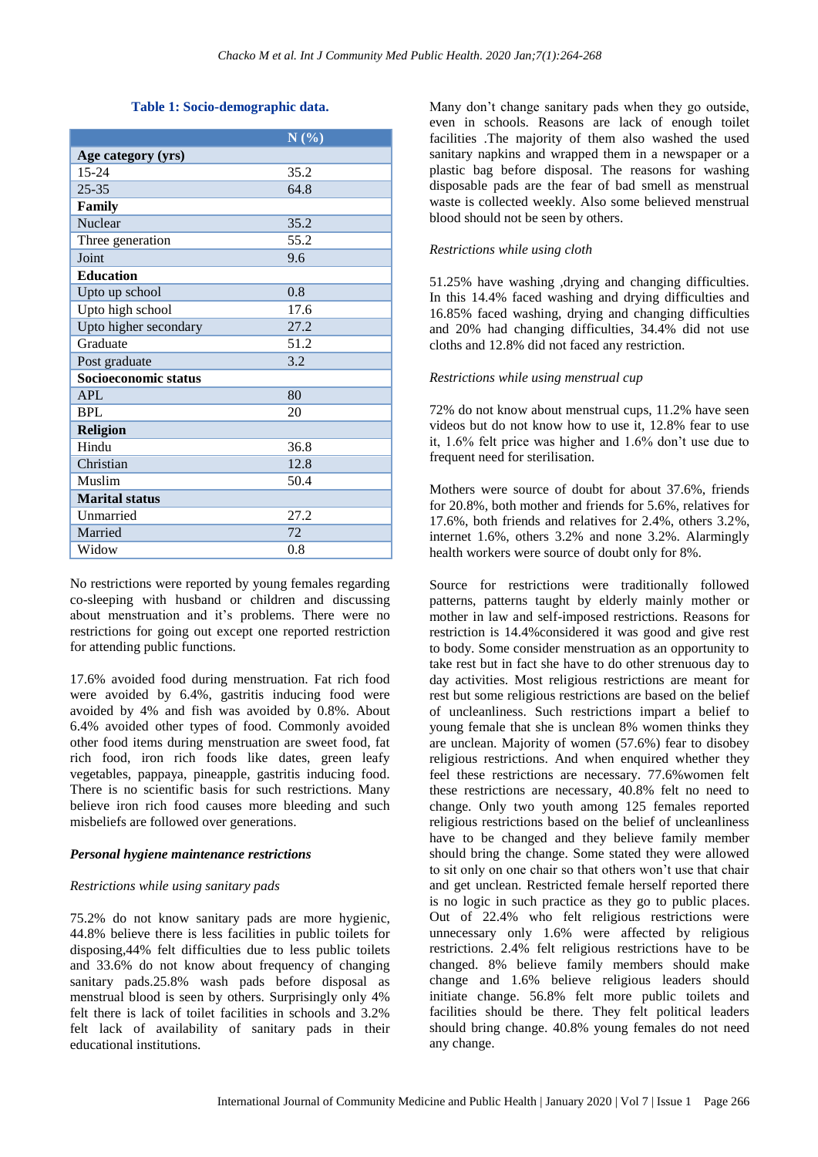#### **Table 1: Socio-demographic data.**

|                       | N(%) |
|-----------------------|------|
| Age category (yrs)    |      |
| $15 - 24$             | 35.2 |
| $25 - 35$             | 64.8 |
| Family                |      |
| Nuclear               | 35.2 |
| Three generation      | 55.2 |
| Joint                 | 9.6  |
| <b>Education</b>      |      |
| Upto up school        | 0.8  |
| Upto high school      | 17.6 |
| Upto higher secondary | 27.2 |
| Graduate              | 51.2 |
| Post graduate         | 3.2  |
| Socioeconomic status  |      |
| <b>APL</b>            | 80   |
| <b>BPL</b>            | 20   |
| <b>Religion</b>       |      |
| Hindu                 | 36.8 |
| Christian             | 12.8 |
| Muslim                | 50.4 |
| <b>Marital status</b> |      |
| Unmarried             | 27.2 |
| Married               | 72   |
| Widow                 | 0.8  |

No restrictions were reported by young females regarding co-sleeping with husband or children and discussing about menstruation and it's problems. There were no restrictions for going out except one reported restriction for attending public functions.

17.6% avoided food during menstruation. Fat rich food were avoided by 6.4%, gastritis inducing food were avoided by 4% and fish was avoided by 0.8%. About 6.4% avoided other types of food. Commonly avoided other food items during menstruation are sweet food, fat rich food, iron rich foods like dates, green leafy vegetables, pappaya, pineapple, gastritis inducing food. There is no scientific basis for such restrictions. Many believe iron rich food causes more bleeding and such misbeliefs are followed over generations.

#### *Personal hygiene maintenance restrictions*

#### *Restrictions while using sanitary pads*

75.2% do not know sanitary pads are more hygienic, 44.8% believe there is less facilities in public toilets for disposing,44% felt difficulties due to less public toilets and 33.6% do not know about frequency of changing sanitary pads.25.8% wash pads before disposal as menstrual blood is seen by others. Surprisingly only 4% felt there is lack of toilet facilities in schools and 3.2% felt lack of availability of sanitary pads in their educational institutions.

Many don't change sanitary pads when they go outside, even in schools. Reasons are lack of enough toilet facilities .The majority of them also washed the used sanitary napkins and wrapped them in a newspaper or a plastic bag before disposal. The reasons for washing disposable pads are the fear of bad smell as menstrual waste is collected weekly. Also some believed menstrual blood should not be seen by others.

#### *Restrictions while using cloth*

51.25% have washing ,drying and changing difficulties. In this 14.4% faced washing and drying difficulties and 16.85% faced washing, drying and changing difficulties and 20% had changing difficulties, 34.4% did not use cloths and 12.8% did not faced any restriction.

#### *Restrictions while using menstrual cup*

72% do not know about menstrual cups, 11.2% have seen videos but do not know how to use it, 12.8% fear to use it, 1.6% felt price was higher and 1.6% don't use due to frequent need for sterilisation.

Mothers were source of doubt for about 37.6%, friends for 20.8%, both mother and friends for 5.6%, relatives for 17.6%, both friends and relatives for 2.4%, others 3.2%, internet 1.6%, others 3.2% and none 3.2%. Alarmingly health workers were source of doubt only for 8%.

Source for restrictions were traditionally followed patterns, patterns taught by elderly mainly mother or mother in law and self-imposed restrictions. Reasons for restriction is 14.4%considered it was good and give rest to body. Some consider menstruation as an opportunity to take rest but in fact she have to do other strenuous day to day activities. Most religious restrictions are meant for rest but some religious restrictions are based on the belief of uncleanliness. Such restrictions impart a belief to young female that she is unclean 8% women thinks they are unclean. Majority of women (57.6%) fear to disobey religious restrictions. And when enquired whether they feel these restrictions are necessary. 77.6%women felt these restrictions are necessary, 40.8% felt no need to change. Only two youth among 125 females reported religious restrictions based on the belief of uncleanliness have to be changed and they believe family member should bring the change. Some stated they were allowed to sit only on one chair so that others won't use that chair and get unclean. Restricted female herself reported there is no logic in such practice as they go to public places. Out of 22.4% who felt religious restrictions were unnecessary only 1.6% were affected by religious restrictions. 2.4% felt religious restrictions have to be changed. 8% believe family members should make change and 1.6% believe religious leaders should initiate change. 56.8% felt more public toilets and facilities should be there. They felt political leaders should bring change. 40.8% young females do not need any change.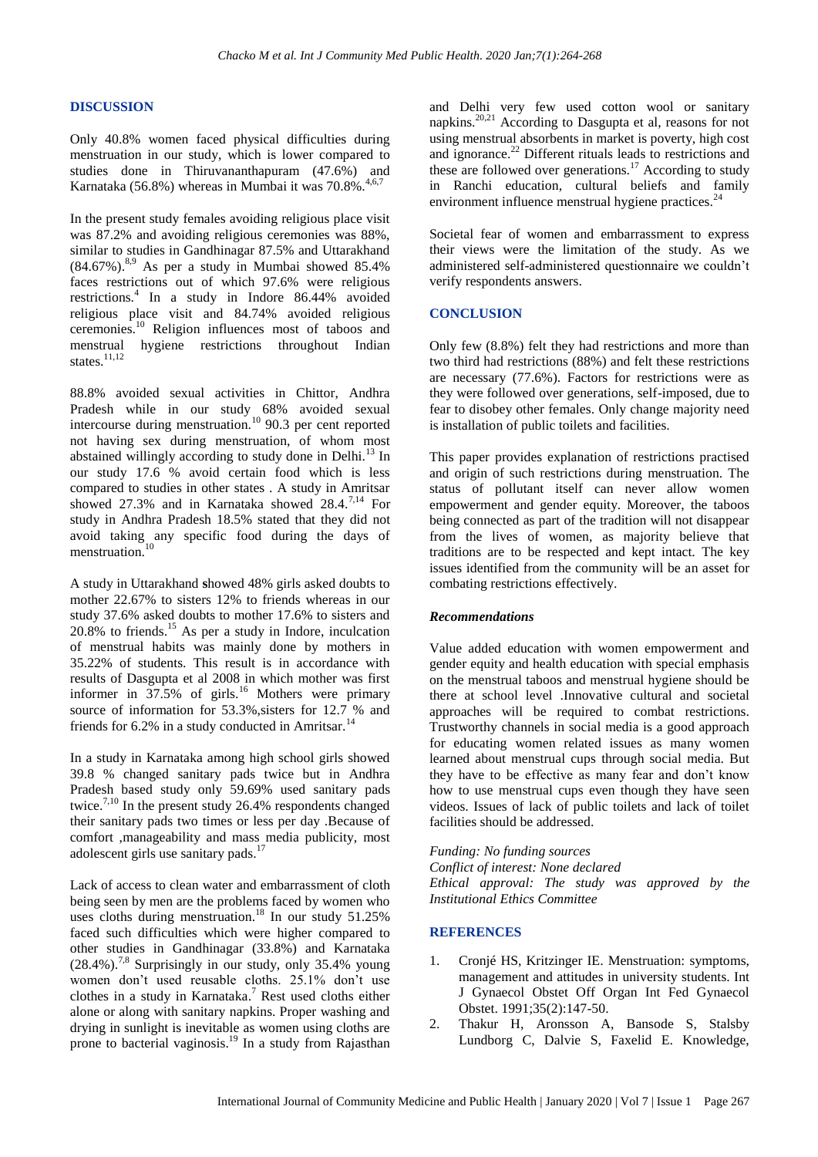#### **DISCUSSION**

Only 40.8% women faced physical difficulties during menstruation in our study, which is lower compared to studies done in Thiruvananthapuram (47.6%) and Karnataka (56.8%) whereas in Mumbai it was 70.8%.

In the present study females avoiding religious place visit was 87.2% and avoiding religious ceremonies was 88%, similar to studies in Gandhinagar 87.5% and Uttarakhand  $(84.67\%)$ .<sup>8,9</sup> As per a study in Mumbai showed  $85.4\%$ faces restrictions out of which 97.6% were religious restrictions.<sup>4</sup> In a study in Indore 86.44% avoided religious place visit and 84.74% avoided religious ceremonies. <sup>10</sup> Religion influences most of taboos and menstrual hygiene restrictions throughout Indian states.<sup>11,12</sup>

88.8% avoided sexual activities in Chittor, Andhra Pradesh while in our study 68% avoided sexual intercourse during menstruation.<sup>10</sup> 90.3 per cent reported not having sex during menstruation, of whom most abstained willingly according to study done in Delhi.<sup>13</sup> In our study 17.6 % avoid certain food which is less compared to studies in other states . A study in Amritsar showed 27.3% and in Karnataka showed 28.4.<sup>7,14</sup> For study in Andhra Pradesh 18.5% stated that they did not avoid taking any specific food during the days of menstruation.<sup>10</sup>

A study in Uttarakhand **s**howed 48% girls asked doubts to mother 22.67% to sisters 12% to friends whereas in our study 37.6% asked doubts to mother 17.6% to sisters and  $20.8\%$  to friends.<sup>15</sup> As per a study in Indore, inculcation of menstrual habits was mainly done by mothers in 35.22% of students. This result is in accordance with results of Dasgupta et al 2008 in which mother was first informer in 37.5% of girls.<sup>16</sup> Mothers were primary source of information for 53.3%, sisters for 12.7 % and friends for  $6.2\%$  in a study conducted in Amritsar.<sup>14</sup>

In a study in Karnataka among high school girls showed 39.8 % changed sanitary pads twice but in Andhra Pradesh based study only 59.69% used sanitary pads twice.<sup>7,10</sup> In the present study 26.4% respondents changed their sanitary pads two times or less per day .Because of comfort ,manageability and mass media publicity, most adolescent girls use sanitary pads.<sup>17</sup>

Lack of access to clean water and embarrassment of cloth being seen by men are the problems faced by women who uses cloths during menstruation. <sup>18</sup> In our study 51.25% faced such difficulties which were higher compared to other studies in Gandhinagar (33.8%) and Karnataka  $(28.4\%)$ <sup>7,8</sup> Surprisingly in our study, only 35.4% young women don't used reusable cloths. 25.1% don't use clothes in a study in Karnataka. <sup>7</sup> Rest used cloths either alone or along with sanitary napkins. Proper washing and drying in sunlight is inevitable as women using cloths are prone to bacterial vaginosis. <sup>19</sup> In a study from Rajasthan

and Delhi very few used cotton wool or sanitary napkins.<sup>20,21</sup> According to Dasgupta et al, reasons for not using menstrual absorbents in market is poverty, high cost and ignorance.<sup>22</sup> Different rituals leads to restrictions and these are followed over generations.<sup>17</sup> According to study in Ranchi education, cultural beliefs and family environment influence menstrual hygiene practices. $^{24}$ 

Societal fear of women and embarrassment to express their views were the limitation of the study. As we administered self-administered questionnaire we couldn't verify respondents answers.

### **CONCLUSION**

Only few (8.8%) felt they had restrictions and more than two third had restrictions (88%) and felt these restrictions are necessary (77.6%). Factors for restrictions were as they were followed over generations, self-imposed, due to fear to disobey other females. Only change majority need is installation of public toilets and facilities.

This paper provides explanation of restrictions practised and origin of such restrictions during menstruation. The status of pollutant itself can never allow women empowerment and gender equity. Moreover, the taboos being connected as part of the tradition will not disappear from the lives of women, as majority believe that traditions are to be respected and kept intact. The key issues identified from the community will be an asset for combating restrictions effectively.

# *Recommendations*

Value added education with women empowerment and gender equity and health education with special emphasis on the menstrual taboos and menstrual hygiene should be there at school level .Innovative cultural and societal approaches will be required to combat restrictions. Trustworthy channels in social media is a good approach for educating women related issues as many women learned about menstrual cups through social media. But they have to be effective as many fear and don't know how to use menstrual cups even though they have seen videos. Issues of lack of public toilets and lack of toilet facilities should be addressed.

#### *Funding: No funding sources*

*Conflict of interest: None declared Ethical approval: The study was approved by the Institutional Ethics Committee*

#### **REFERENCES**

- 1. Cronjé HS, Kritzinger IE. Menstruation: symptoms, management and attitudes in university students. Int J Gynaecol Obstet Off Organ Int Fed Gynaecol Obstet. 1991;35(2):147-50.
- 2. Thakur H, Aronsson A, Bansode S, Stalsby Lundborg C, Dalvie S, Faxelid E. Knowledge,